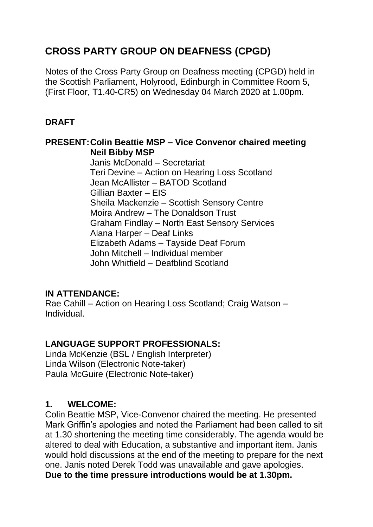# **CROSS PARTY GROUP ON DEAFNESS (CPGD)**

Notes of the Cross Party Group on Deafness meeting (CPGD) held in the Scottish Parliament, Holyrood, Edinburgh in Committee Room 5, (First Floor, T1.40-CR5) on Wednesday 04 March 2020 at 1.00pm.

## **DRAFT**

#### **PRESENT:Colin Beattie MSP – Vice Convenor chaired meeting Neil Bibby MSP**

Janis McDonald – Secretariat Teri Devine – Action on Hearing Loss Scotland Jean McAllister – BATOD Scotland Gillian Baxter – EIS Sheila Mackenzie – Scottish Sensory Centre Moira Andrew – The Donaldson Trust Graham Findlay – North East Sensory Services Alana Harper – Deaf Links Elizabeth Adams – Tayside Deaf Forum John Mitchell – Individual member John Whitfield – Deafblind Scotland

## **IN ATTENDANCE:**

Rae Cahill – Action on Hearing Loss Scotland; Craig Watson – Individual.

## **LANGUAGE SUPPORT PROFESSIONALS:**

Linda McKenzie (BSL / English Interpreter) Linda Wilson (Electronic Note-taker) Paula McGuire (Electronic Note-taker)

## **1. WELCOME:**

Colin Beattie MSP, Vice-Convenor chaired the meeting. He presented Mark Griffin's apologies and noted the Parliament had been called to sit at 1.30 shortening the meeting time considerably. The agenda would be altered to deal with Education, a substantive and important item. Janis would hold discussions at the end of the meeting to prepare for the next one. Janis noted Derek Todd was unavailable and gave apologies. **Due to the time pressure introductions would be at 1.30pm.**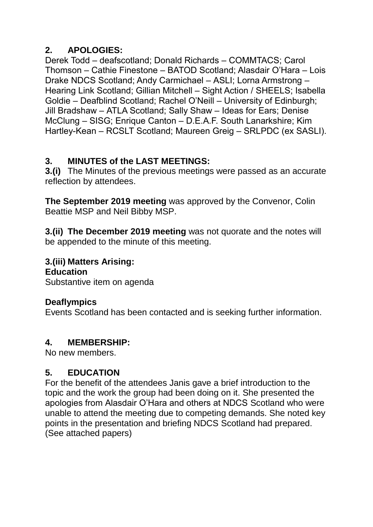# **2. APOLOGIES:**

Derek Todd – deafscotland; Donald Richards – COMMTACS; Carol Thomson – Cathie Finestone – BATOD Scotland; Alasdair O'Hara – Lois Drake NDCS Scotland; Andy Carmichael – ASLI; Lorna Armstrong – Hearing Link Scotland; Gillian Mitchell – Sight Action / SHEELS; Isabella Goldie – Deafblind Scotland; Rachel O'Neill – University of Edinburgh; Jill Bradshaw – ATLA Scotland; Sally Shaw – Ideas for Ears; Denise McClung – SISG; Enrique Canton – D.E.A.F. South Lanarkshire; Kim Hartley-Kean – RCSLT Scotland; Maureen Greig – SRLPDC (ex SASLI).

# **3. MINUTES of the LAST MEETINGS:**

**3.(i)** The Minutes of the previous meetings were passed as an accurate reflection by attendees.

**The September 2019 meeting** was approved by the Convenor, Colin Beattie MSP and Neil Bibby MSP.

**3.(ii) The December 2019 meeting** was not quorate and the notes will be appended to the minute of this meeting.

# **3.(iii) Matters Arising:**

**Education**

Substantive item on agenda

## **Deaflympics**

Events Scotland has been contacted and is seeking further information.

#### **4. MEMBERSHIP:**

No new members.

## **5. EDUCATION**

For the benefit of the attendees Janis gave a brief introduction to the topic and the work the group had been doing on it. She presented the apologies from Alasdair O'Hara and others at NDCS Scotland who were unable to attend the meeting due to competing demands. She noted key points in the presentation and briefing NDCS Scotland had prepared. (See attached papers)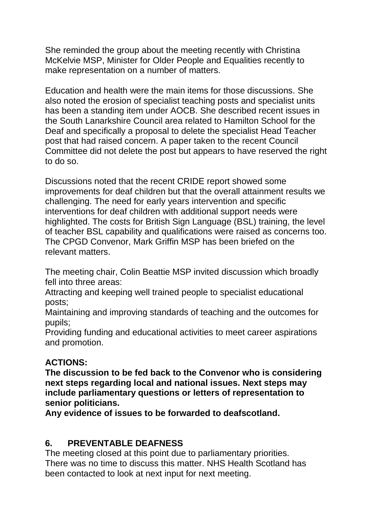She reminded the group about the meeting recently with Christina McKelvie MSP, Minister for Older People and Equalities recently to make representation on a number of matters.

Education and health were the main items for those discussions. She also noted the erosion of specialist teaching posts and specialist units has been a standing item under AOCB. She described recent issues in the South Lanarkshire Council area related to Hamilton School for the Deaf and specifically a proposal to delete the specialist Head Teacher post that had raised concern. A paper taken to the recent Council Committee did not delete the post but appears to have reserved the right to do so.

Discussions noted that the recent CRIDE report showed some improvements for deaf children but that the overall attainment results we challenging. The need for early years intervention and specific interventions for deaf children with additional support needs were highlighted. The costs for British Sign Language (BSL) training, the level of teacher BSL capability and qualifications were raised as concerns too. The CPGD Convenor, Mark Griffin MSP has been briefed on the relevant matters.

The meeting chair, Colin Beattie MSP invited discussion which broadly fell into three areas:

Attracting and keeping well trained people to specialist educational posts;

Maintaining and improving standards of teaching and the outcomes for pupils;

Providing funding and educational activities to meet career aspirations and promotion.

## **ACTIONS:**

**The discussion to be fed back to the Convenor who is considering next steps regarding local and national issues. Next steps may include parliamentary questions or letters of representation to senior politicians.**

**Any evidence of issues to be forwarded to deafscotland.**

# **6. PREVENTABLE DEAFNESS**

The meeting closed at this point due to parliamentary priorities. There was no time to discuss this matter. NHS Health Scotland has been contacted to look at next input for next meeting.